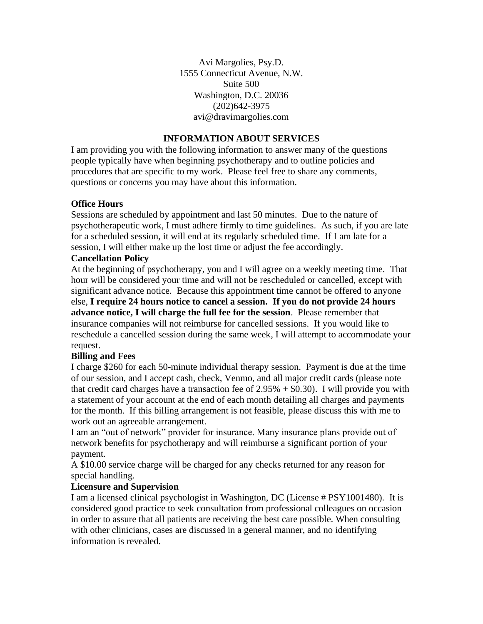Avi Margolies, Psy.D. 1555 Connecticut Avenue, N.W. Suite 500 Washington, D.C. 20036 (202)642-3975 avi@dravimargolies.com

## **INFORMATION ABOUT SERVICES**

I am providing you with the following information to answer many of the questions people typically have when beginning psychotherapy and to outline policies and procedures that are specific to my work. Please feel free to share any comments, questions or concerns you may have about this information.

## **Office Hours**

Sessions are scheduled by appointment and last 50 minutes. Due to the nature of psychotherapeutic work, I must adhere firmly to time guidelines. As such, if you are late for a scheduled session, it will end at its regularly scheduled time. If I am late for a session, I will either make up the lost time or adjust the fee accordingly.

## **Cancellation Policy**

At the beginning of psychotherapy, you and I will agree on a weekly meeting time. That hour will be considered your time and will not be rescheduled or cancelled, except with significant advance notice. Because this appointment time cannot be offered to anyone else, **I require 24 hours notice to cancel a session. If you do not provide 24 hours advance notice, I will charge the full fee for the session**. Please remember that insurance companies will not reimburse for cancelled sessions. If you would like to reschedule a cancelled session during the same week, I will attempt to accommodate your request.

#### **Billing and Fees**

I charge \$260 for each 50-minute individual therapy session. Payment is due at the time of our session, and I accept cash, check, Venmo, and all major credit cards (please note that credit card charges have a transaction fee of  $2.95% + $0.30$ . I will provide you with a statement of your account at the end of each month detailing all charges and payments for the month. If this billing arrangement is not feasible, please discuss this with me to work out an agreeable arrangement.

I am an "out of network" provider for insurance. Many insurance plans provide out of network benefits for psychotherapy and will reimburse a significant portion of your payment.

A \$10.00 service charge will be charged for any checks returned for any reason for special handling.

#### **Licensure and Supervision**

I am a licensed clinical psychologist in Washington, DC (License # PSY1001480). It is considered good practice to seek consultation from professional colleagues on occasion in order to assure that all patients are receiving the best care possible. When consulting with other clinicians, cases are discussed in a general manner, and no identifying information is revealed.